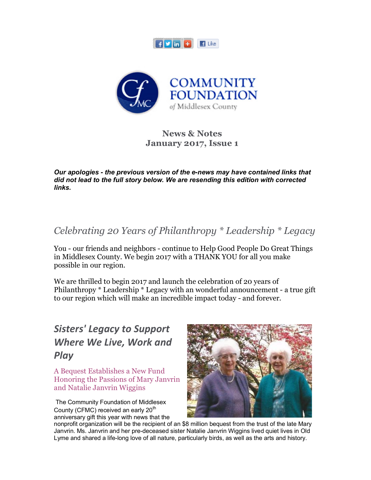



#### **News & Notes January 2017, Issue 1**

*Our apologies - the previous version of the e-news may have contained links that did not lead to the full story below. We are resending this edition with corrected links.*

*Celebrating 20 Years of Philanthropy \* Leadership \* Legacy*

You - our friends and neighbors - continue to Help Good People Do Great Things in Middlesex County. We begin 2017 with a THANK YOU for all you make possible in our region.

We are thrilled to begin 2017 and launch the celebration of 20 years of Philanthropy \* Leadership \* Legacy with an wonderful announcement - a true gift to our region which will make an incredible impact today - and forever.

# *Sisters' Legacy to Support Where We Live, Work and Play*

A Bequest Establishes a New Fund Honoring the Passions of Mary Janvrin and Natalie Janvrin Wiggins

 The Community Foundation of Middlesex County (CFMC) received an early 20<sup>th</sup> anniversary gift this year with news that the



nonprofit organization will be the recipient of an \$8 million bequest from the trust of the late Mary Janvrin. Ms. Janvrin and her pre-deceased sister Natalie Janvrin Wiggins lived quiet lives in Old Lyme and shared a life-long love of all nature, particularly birds, as well as the arts and history.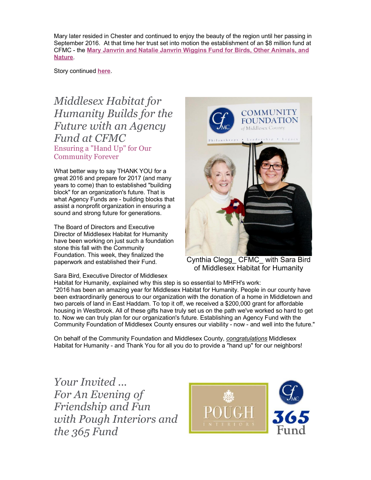Mary later resided in Chester and continued to enjoy the beauty of the region until her passing in September 2016. At that time her trust set into motion the establishment of an \$8 million fund at CFMC - the **Mary Janvrin and Natalie Janvrin Wiggins Fund for Birds, Other Animals, and Nature**.

Story continued **here**.

## *Middlesex Habitat for Humanity Builds for the Future with an Agency Fund at CFMC* Ensuring a "Hand Up" for Our Community Forever

What better way to say THANK YOU for a great 2016 and prepare for 2017 (and many years to come) than to established "building block" for an organization's future. That is what Agency Funds are - building blocks that assist a nonprofit organization in ensuring a sound and strong future for generations.

The Board of Directors and Executive Director of Middlesex Habitat for Humanity have been working on just such a foundation stone this fall with the Community Foundation. This week, they finalized the paperwork and established their Fund.

Sara Bird, Executive Director of Middlesex



Cynthia Clegg\_ CFMC\_ with Sara Bird of Middlesex Habitat for Humanity

Habitat for Humanity, explained why this step is so essential to MHFH's work: "2016 has been an amazing year for Middlesex Habitat for Humanity. People in our county have been extraordinarily generous to our organization with the donation of a home in Middletown and two parcels of land in East Haddam. To top it off, we received a \$200,000 grant for affordable housing in Westbrook. All of these gifts have truly set us on the path we've worked so hard to get to. Now we can truly plan for our organization's future. Establishing an Agency Fund with the Community Foundation of Middlesex County ensures our viability - now - and well into the future."

On behalf of the Community Foundation and Middlesex County, *congratulations* Middlesex Habitat for Humanity - and Thank You for all you do to provide a "hand up" for our neighbors!

*Your Invited ... For An Evening of Friendship and Fun with Pough Interiors and the 365 Fund*

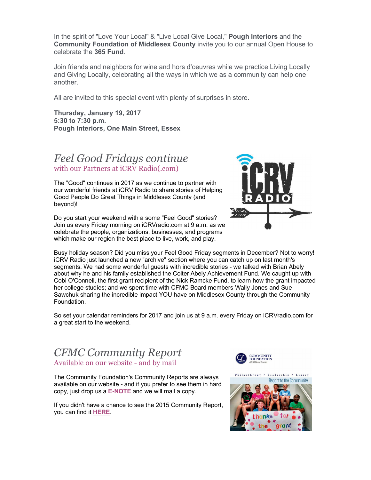In the spirit of "Love Your Local" & "Live Local Give Local," **Pough Interiors** and the **Community Foundation of Middlesex County** invite you to our annual Open House to celebrate the **365 Fund**.

Join friends and neighbors for wine and hors d'oeuvres while we practice Living Locally and Giving Locally, celebrating all the ways in which we as a community can help one another.

All are invited to this special event with plenty of surprises in store.

**Thursday, January 19, 2017 5:30 to 7:30 p.m. Pough Interiors, One Main Street, Essex**

#### *Feel Good Fridays continue* with our Partners at iCRV Radio(.com)

The "Good" continues in 2017 as we continue to partner with our wonderful friends at iCRV Radio to share stories of Helping Good People Do Great Things in Middlesex County (and beyond)!

Do you start your weekend with a some "Feel Good" stories? Join us every Friday morning on iCRVradio.com at 9 a.m. as we celebrate the people, organizations, businesses, and programs which make our region the best place to live, work, and play.



Busy holiday season? Did you miss your Feel Good Friday segments in December? Not to worry! iCRV Radio just launched a new "archive" section where you can catch up on last month's segments. We had some wonderful guests with incredible stories - we talked with Brian Abely about why he and his family established the Colter Abely Achievement Fund. We caught up with Cobi O'Connell, the first grant recipient of the Nick Ramcke Fund, to learn how the grant impacted her college studies; and we spent time with CFMC Board members Wally Jones and Sue Sawchuk sharing the incredible impact YOU have on Middlesex County through the Community Foundation.

So set your calendar reminders for 2017 and join us at 9 a.m. every Friday on iCRVradio.com for a great start to the weekend.

### *CFMC Community Report* Available on our website - and by mail

The Community Foundation's Community Reports are always available on our website - and if you prefer to see them in hard copy, just drop us a **E-NOTE** and we will mail a copy.

If you didn't have a chance to see the 2015 Community Report, you can find it **HERE**.